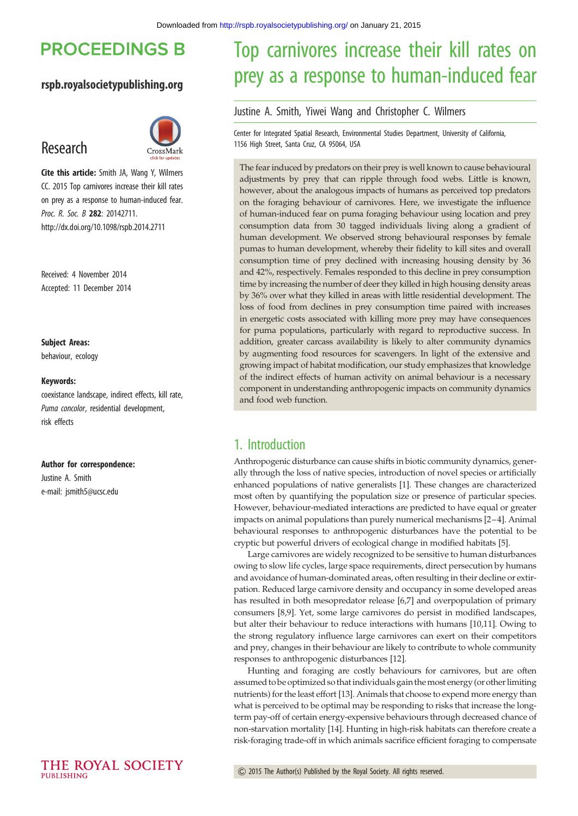## **PROCEEDINGS B**

#### rspb.royalsocietypublishing.org

## Research



Cite this article: Smith JA, Wang Y, Wilmers CC. 2015 Top carnivores increase their kill rates on prey as a response to human-induced fear. Proc. R. Soc. B 282: 20142711. http://dx.doi.org/10.1098/rspb.2014.2711

Received: 4 November 2014 Accepted: 11 December 2014

Subject Areas:

behaviour, ecology

#### Keywords:

coexistance landscape, indirect effects, kill rate, Puma concolor, residential development, risk effects

#### Author for correspondence:

Justine A. Smith e-mail: [jsmith5@ucsc.edu](mailto:jsmith5@ucsc.edu)

# Top carnivores increase their kill rates on prey as a response to human-induced fear

#### Justine A. Smith, Yiwei Wang and Christopher C. Wilmers

Center for Integrated Spatial Research, Environmental Studies Department, University of California, 1156 High Street, Santa Cruz, CA 95064, USA

The fear induced by predators on their prey is well known to cause behavioural adjustments by prey that can ripple through food webs. Little is known, however, about the analogous impacts of humans as perceived top predators on the foraging behaviour of carnivores. Here, we investigate the influence of human-induced fear on puma foraging behaviour using location and prey consumption data from 30 tagged individuals living along a gradient of human development. We observed strong behavioural responses by female pumas to human development, whereby their fidelity to kill sites and overall consumption time of prey declined with increasing housing density by 36 and 42%, respectively. Females responded to this decline in prey consumption time by increasing the number of deer they killed in high housing density areas by 36% over what they killed in areas with little residential development. The loss of food from declines in prey consumption time paired with increases in energetic costs associated with killing more prey may have consequences for puma populations, particularly with regard to reproductive success. In addition, greater carcass availability is likely to alter community dynamics by augmenting food resources for scavengers. In light of the extensive and growing impact of habitat modification, our study emphasizes that knowledge of the indirect effects of human activity on animal behaviour is a necessary component in understanding anthropogenic impacts on community dynamics and food web function.

## 1. Introduction

Anthropogenic disturbance can cause shifts in biotic community dynamics, generally through the loss of native species, introduction of novel species or artificially enhanced populations of native generalists [\[1\]](#page-4-0). These changes are characterized most often by quantifying the population size or presence of particular species. However, behaviour-mediated interactions are predicted to have equal or greater impacts on animal populations than purely numerical mechanisms [[2](#page-4-0)–[4\]](#page-4-0). Animal behavioural responses to anthropogenic disturbances have the potential to be cryptic but powerful drivers of ecological change in modified habitats [\[5\]](#page-4-0).

Large carnivores are widely recognized to be sensitive to human disturbances owing to slow life cycles, large space requirements, direct persecution by humans and avoidance of human-dominated areas, often resulting in their decline or extirpation. Reduced large carnivore density and occupancy in some developed areas has resulted in both mesopredator release [\[6,7](#page-4-0)] and overpopulation of primary consumers [[8](#page-5-0),[9](#page-5-0)]. Yet, some large carnivores do persist in modified landscapes, but alter their behaviour to reduce interactions with humans [\[10,11](#page-5-0)]. Owing to the strong regulatory influence large carnivores can exert on their competitors and prey, changes in their behaviour are likely to contribute to whole community responses to anthropogenic disturbances [[12\]](#page-5-0).

Hunting and foraging are costly behaviours for carnivores, but are often assumed to be optimized so that individuals gain themost energy (or other limiting nutrients) for the least effort [[13](#page-5-0)]. Animals that choose to expend more energy than what is perceived to be optimal may be responding to risks that increase the longterm pay-off of certain energy-expensive behaviours through decreased chance of non-starvation mortality [\[14](#page-5-0)]. Hunting in high-risk habitats can therefore create a risk-foraging trade-off in which animals sacrifice efficient foraging to compensate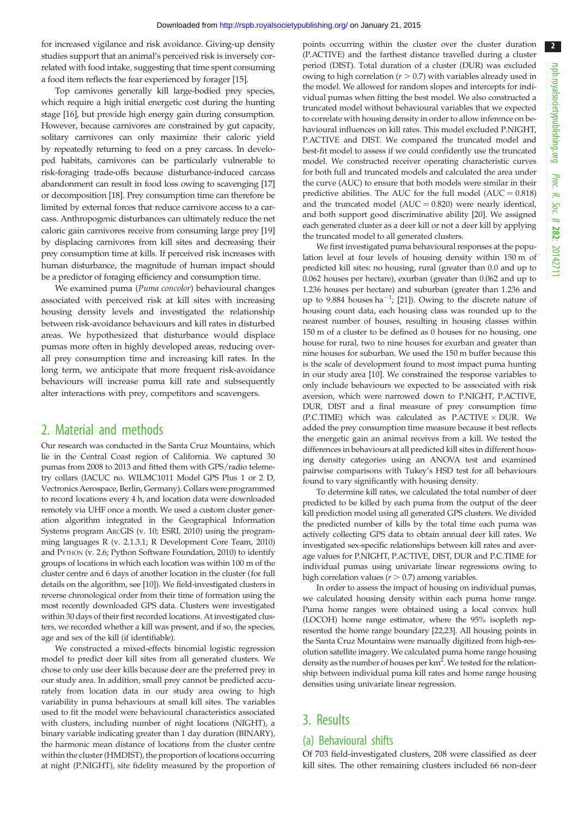for increased vigilance and risk avoidance. Giving-up density studies support that an animal's perceived risk is inversely correlated with food intake, suggesting that time spent consuming a food item reflects the fear experienced by forager [\[15](#page-5-0)].

Top carnivores generally kill large-bodied prey species, which require a high initial energetic cost during the hunting stage [[16](#page-5-0)], but provide high energy gain during consumption. However, because carnivores are constrained by gut capacity, solitary carnivores can only maximize their caloric yield by repeatedly returning to feed on a prey carcass. In developed habitats, carnivores can be particularly vulnerable to risk-foraging trade-offs because disturbance-induced carcass abandonment can result in food loss owing to scavenging [[17\]](#page-5-0) or decomposition [[18\]](#page-5-0). Prey consumption time can therefore be limited by external forces that reduce carnivore access to a carcass. Anthropogenic disturbances can ultimately reduce the net caloric gain carnivores receive from consuming large prey [[19\]](#page-5-0) by displacing carnivores from kill sites and decreasing their prey consumption time at kills. If perceived risk increases with human disturbance, the magnitude of human impact should be a predictor of foraging efficiency and consumption time.

We examined puma (Puma concolor) behavioural changes associated with perceived risk at kill sites with increasing housing density levels and investigated the relationship between risk-avoidance behaviours and kill rates in disturbed areas. We hypothesized that disturbance would displace pumas more often in highly developed areas, reducing overall prey consumption time and increasing kill rates. In the long term, we anticipate that more frequent risk-avoidance behaviours will increase puma kill rate and subsequently alter interactions with prey, competitors and scavengers.

## 2. Material and methods

Our research was conducted in the Santa Cruz Mountains, which lie in the Central Coast region of California. We captured 30 pumas from 2008 to 2013 and fitted them with GPS/radio telemetry collars (IACUC no. WILMC1011 Model GPS Plus 1 or 2 D, Vectronics Aerospace, Berlin, Germany). Collars were programmed to record locations every 4 h, and location data were downloaded remotely via UHF once a month. We used a custom cluster generation algorithm integrated in the Geographical Information Systems program ARCGIS (v. 10; ESRI, 2010) using the programming languages R (v. 2.1.3.1; R Development Core Team, 2010) and PYTHON (v. 2.6; Python Software Foundation, 2010) to identify groups of locations in which each location was within 100 m of the cluster centre and 6 days of another location in the cluster (for full details on the algorithm, see [[10](#page-5-0)]). We field-investigated clusters in reverse chronological order from their time of formation using the most recently downloaded GPS data. Clusters were investigated within 30 days of their first recorded locations. At investigated clusters, we recorded whether a kill was present, and if so, the species, age and sex of the kill (if identifiable).

We constructed a mixed-effects binomial logistic regression model to predict deer kill sites from all generated clusters. We chose to only use deer kills because deer are the preferred prey in our study area. In addition, small prey cannot be predicted accurately from location data in our study area owing to high variability in puma behaviours at small kill sites. The variables used to fit the model were behavioural characteristics associated with clusters, including number of night locations (NIGHT), a binary variable indicating greater than 1 day duration (BINARY), the harmonic mean distance of locations from the cluster centre within the cluster (HMDIST), the proportion of locations occurring at night (P.NIGHT), site fidelity measured by the proportion of

points occurring within the cluster over the cluster duration (P.ACTIVE) and the farthest distance travelled during a cluster period (DIST). Total duration of a cluster (DUR) was excluded owing to high correlation ( $r > 0.7$ ) with variables already used in the model. We allowed for random slopes and intercepts for individual pumas when fitting the best model. We also constructed a truncated model without behavioural variables that we expected to correlate with housing density in order to allow inference on behavioural influences on kill rates. This model excluded P.NIGHT, P.ACTIVE and DIST. We compared the truncated model and best-fit model to assess if we could confidently use the truncated model. We constructed receiver operating characteristic curves for both full and truncated models and calculated the area under the curve (AUC) to ensure that both models were similar in their predictive abilities. The AUC for the full model  $(AUC = 0.818)$ and the truncated model  $(AUC = 0.820)$  were nearly identical, and both support good discriminative ability [[20](#page-5-0)]. We assigned each generated cluster as a deer kill or not a deer kill by applying the truncated model to all generated clusters.

We first investigated puma behavioural responses at the population level at four levels of housing density within 150 m of predicted kill sites: no housing, rural (greater than 0.0 and up to 0.062 houses per hectare), exurban (greater than 0.062 and up to 1.236 houses per hectare) and suburban (greater than 1.236 and up to 9.884 houses  $ha^{-1}$ ; [\[21](#page-5-0)]). Owing to the discrete nature of housing count data, each housing class was rounded up to the nearest number of houses, resulting in housing classes within 150 m of a cluster to be defined as 0 houses for no housing, one house for rural, two to nine houses for exurban and greater than nine houses for suburban. We used the 150 m buffer because this is the scale of development found to most impact puma hunting in our study area [[10](#page-5-0)]. We constrained the response variables to only include behaviours we expected to be associated with risk aversion, which were narrowed down to P.NIGHT, P.ACTIVE, DUR, DIST and a final measure of prey consumption time  $(P.C.TIME)$  which was calculated as  $P.ACTIVE \times DUR$ . We added the prey consumption time measure because it best reflects the energetic gain an animal receives from a kill. We tested the differences in behaviours at all predicted kill sites in different housing density categories using an ANOVA test and examined pairwise comparisons with Tukey's HSD test for all behaviours found to vary significantly with housing density.

To determine kill rates, we calculated the total number of deer predicted to be killed by each puma from the output of the deer kill prediction model using all generated GPS clusters. We divided the predicted number of kills by the total time each puma was actively collecting GPS data to obtain annual deer kill rates. We investigated sex-specific relationships between kill rates and average values for P.NIGHT, P.ACTIVE, DIST, DUR and P.C.TIME for individual pumas using univariate linear regressions owing to high correlation values ( $r > 0.7$ ) among variables.

In order to assess the impact of housing on individual pumas, we calculated housing density within each puma home range. Puma home ranges were obtained using a local convex hull (LOCOH) home range estimator, where the 95% isopleth represented the home range boundary [[22,23](#page-5-0)]. All housing points in the Santa Cruz Mountains were manually digitized from high-resolution satellite imagery. We calculated puma home range housing density as the number of houses per km<sup>2</sup>. We tested for the relationship between individual puma kill rates and home range housing densities using univariate linear regression.

## 3. Results

#### (a) Behavioural shifts

Of 703 field-investigated clusters, 208 were classified as deer kill sites. The other remaining clusters included 66 non-deer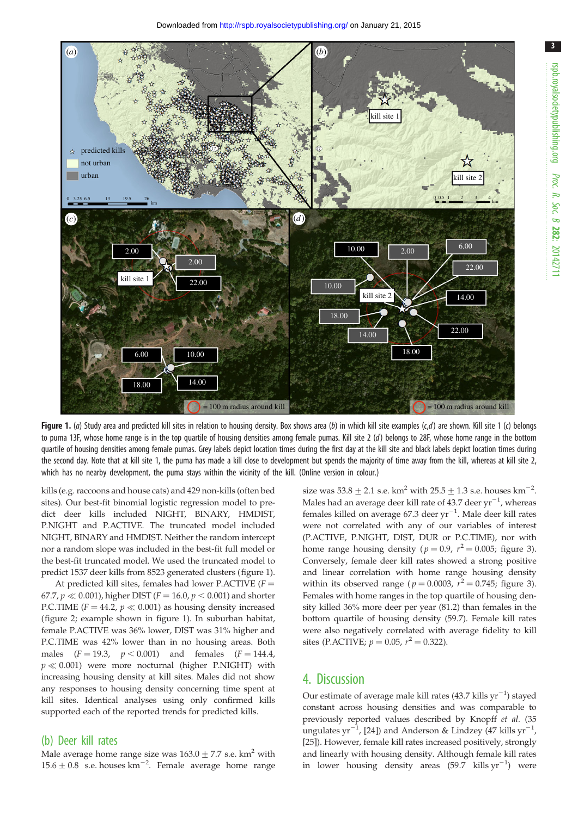

Figure 1. (a) Study area and predicted kill sites in relation to housing density. Box shows area (b) in which kill site examples (c,d) are shown. Kill site 1 (c) belongs to puma 13F, whose home range is in the top quartile of housing densities among female pumas. Kill site 2 (d) belongs to 28F, whose home range in the bottom quartile of housing densities among female pumas. Grey labels depict location times during the first day at the kill site and black labels depict location times during the second day. Note that at kill site 1, the puma has made a kill close to development but spends the majority of time away from the kill, whereas at kill site 2, which has no nearby development, the puma stays within the vicinity of the kill. (Online version in colour.)

kills (e.g. raccoons and house cats) and 429 non-kills (often bed sites). Our best-fit binomial logistic regression model to predict deer kills included NIGHT, BINARY, HMDIST, P.NIGHT and P.ACTIVE. The truncated model included NIGHT, BINARY and HMDIST. Neither the random intercept nor a random slope was included in the best-fit full model or the best-fit truncated model. We used the truncated model to predict 1537 deer kills from 8523 generated clusters (figure 1).

At predicted kill sites, females had lower P.ACTIVE ( $F =$ 67.7,  $p \ll 0.001$ ), higher DIST ( $F = 16.0$ ,  $p < 0.001$ ) and shorter P.C.TIME ( $F = 44.2$ ,  $p \ll 0.001$ ) as housing density increased [\(figure 2](#page-3-0); example shown in figure 1). In suburban habitat, female P.ACTIVE was 36% lower, DIST was 31% higher and P.C.TIME was 42% lower than in no housing areas. Both males  $(F = 19.3, p < 0.001)$  and females  $(F = 144.4,$  $p \ll 0.001$ ) were more nocturnal (higher P.NIGHT) with increasing housing density at kill sites. Males did not show any responses to housing density concerning time spent at kill sites. Identical analyses using only confirmed kills supported each of the reported trends for predicted kills.

#### (b) Deer kill rates

Male average home range size was  $163.0 \pm 7.7$  s.e. km<sup>2</sup> with  $15.6 \pm 0.8$  s.e. houses km<sup>-2</sup>. Female average home range

size was  $53.8 \pm 2.1$  s.e. km<sup>2</sup> with  $25.5 \pm 1.3$  s.e. houses km<sup>-2</sup>. Males had an average deer kill rate of 43.7 deer  $\rm{yr}^{-1}$ , whereas females killed on average 67.3 deer  $yr^{-1}$ . Male deer kill rates were not correlated with any of our variables of interest (P.ACTIVE, P.NIGHT, DIST, DUR or P.C.TIME), nor with home range housing density ( $p = 0.9$ ,  $r^2 = 0.005$ ; [figure 3\)](#page-4-0). Conversely, female deer kill rates showed a strong positive and linear correlation with home range housing density within its observed range ( $p = 0.0003$ ,  $r^2 = 0.745$ ; [figure 3\)](#page-4-0). Females with home ranges in the top quartile of housing density killed 36% more deer per year (81.2) than females in the bottom quartile of housing density (59.7). Female kill rates were also negatively correlated with average fidelity to kill sites (P.ACTIVE;  $p = 0.05$ ,  $r^2 = 0.322$ ).

### 4. Discussion

Our estimate of average male kill rates (43.7 kills  $yr^{-1}$ ) stayed constant across housing densities and was comparable to previously reported values described by Knopff et al. (35 ungulates yr<sup>-1</sup>, [[24\]](#page-5-0)) and Anderson & Lindzey (47 kills yr<sup>-1</sup>, [[25\]](#page-5-0)). However, female kill rates increased positively, strongly and linearly with housing density. Although female kill rates in lower housing density areas  $(59.7 \text{ kills yr}^{-1})$  were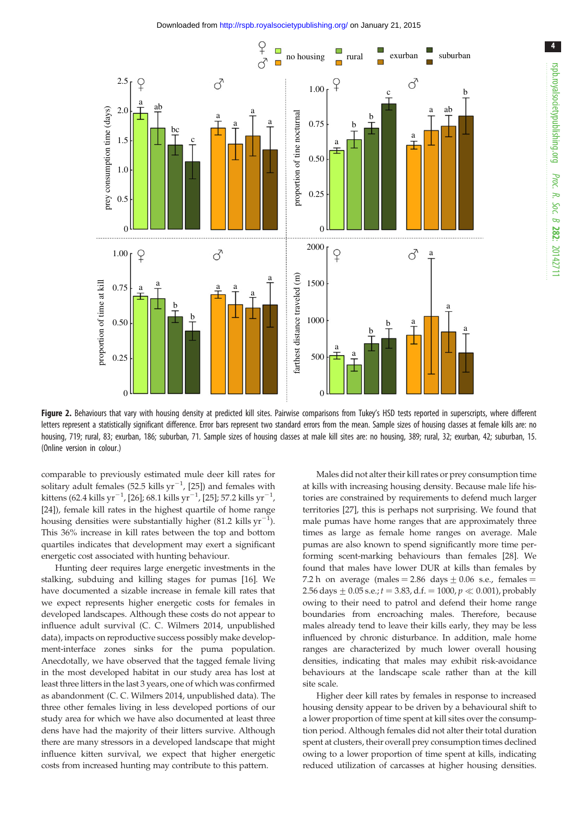<span id="page-3-0"></span>

Figure 2. Behaviours that vary with housing density at predicted kill sites. Pairwise comparisons from Tukey's HSD tests reported in superscripts, where different letters represent a statistically significant difference. Error bars represent two standard errors from the mean. Sample sizes of housing classes at female kills are: no housing, 719; rural, 83; exurban, 186; suburban, 71. Sample sizes of housing classes at male kill sites are: no housing, 389; rural, 32; exurban, 42; suburban, 15. (Online version in colour.)

comparable to previously estimated mule deer kill rates for solitary adult females (52.5 kills yr $^{-1}$ , [[25\]](#page-5-0)) and females with kittens (62.4 kills yr $^{-1}$ , [[26\]](#page-5-0); 68.1 kills yr $^{-1}$ , [\[25](#page-5-0)]; 57.2 kills yr $^{-1}$ , [\[24](#page-5-0)]), female kill rates in the highest quartile of home range housing densities were substantially higher (81.2 kills yr $^{-1}$ ). This 36% increase in kill rates between the top and bottom quartiles indicates that development may exert a significant energetic cost associated with hunting behaviour.

Hunting deer requires large energetic investments in the stalking, subduing and killing stages for pumas [[16\]](#page-5-0). We have documented a sizable increase in female kill rates that we expect represents higher energetic costs for females in developed landscapes. Although these costs do not appear to influence adult survival (C. C. Wilmers 2014, unpublished data), impacts on reproductive success possibly make development-interface zones sinks for the puma population. Anecdotally, we have observed that the tagged female living in the most developed habitat in our study area has lost at least three litters in the last 3 years, one of which was confirmed as abandonment (C. C. Wilmers 2014, unpublished data). The three other females living in less developed portions of our study area for which we have also documented at least three dens have had the majority of their litters survive. Although there are many stressors in a developed landscape that might influence kitten survival, we expect that higher energetic costs from increased hunting may contribute to this pattern.

Males did not alter their kill rates or prey consumption time at kills with increasing housing density. Because male life histories are constrained by requirements to defend much larger territories [[27\]](#page-5-0), this is perhaps not surprising. We found that male pumas have home ranges that are approximately three times as large as female home ranges on average. Male pumas are also known to spend significantly more time performing scent-marking behaviours than females [\[28](#page-5-0)]. We found that males have lower DUR at kills than females by 7.2 h on average (males  $= 2.86$  days  $+0.06$  s.e., females  $=$ 2.56 days  $\pm$  0.05 s.e.;  $t = 3.83$ , d.f.  $= 1000$ ,  $p \ll 0.001$ ), probably owing to their need to patrol and defend their home range boundaries from encroaching males. Therefore, because males already tend to leave their kills early, they may be less influenced by chronic disturbance. In addition, male home ranges are characterized by much lower overall housing densities, indicating that males may exhibit risk-avoidance behaviours at the landscape scale rather than at the kill site scale.

Higher deer kill rates by females in response to increased housing density appear to be driven by a behavioural shift to a lower proportion of time spent at kill sites over the consumption period. Although females did not alter their total duration spent at clusters, their overall prey consumption times declined owing to a lower proportion of time spent at kills, indicating reduced utilization of carcasses at higher housing densities.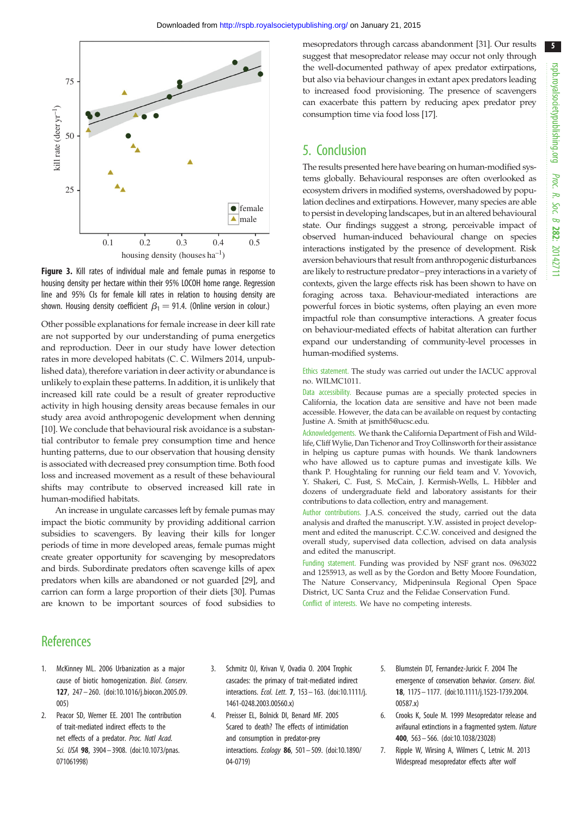<span id="page-4-0"></span>

Figure 3. Kill rates of individual male and female pumas in response to housing density per hectare within their 95% LOCOH home range. Regression line and 95% CIs for female kill rates in relation to housing density are shown. Housing density coefficient  $\beta_1 = 91.4$ . (Online version in colour.)

Other possible explanations for female increase in deer kill rate are not supported by our understanding of puma energetics and reproduction. Deer in our study have lower detection rates in more developed habitats (C. C. Wilmers 2014, unpublished data), therefore variation in deer activity or abundance is unlikely to explain these patterns. In addition, it is unlikely that increased kill rate could be a result of greater reproductive activity in high housing density areas because females in our study area avoid anthropogenic development when denning [\[10](#page-5-0)]. We conclude that behavioural risk avoidance is a substantial contributor to female prey consumption time and hence hunting patterns, due to our observation that housing density is associated with decreased prey consumption time. Both food loss and increased movement as a result of these behavioural shifts may contribute to observed increased kill rate in human-modified habitats.

An increase in ungulate carcasses left by female pumas may impact the biotic community by providing additional carrion subsidies to scavengers. By leaving their kills for longer periods of time in more developed areas, female pumas might create greater opportunity for scavenging by mesopredators and birds. Subordinate predators often scavenge kills of apex predators when kills are abandoned or not guarded [[29\]](#page-5-0), and carrion can form a large proportion of their diets [\[30](#page-5-0)]. Pumas are known to be important sources of food subsidies to

mesopredators through carcass abandonment [\[31\]](#page-5-0). Our results suggest that mesopredator release may occur not only through the well-documented pathway of apex predator extirpations, but also via behaviour changes in extant apex predators leading to increased food provisioning. The presence of scavengers can exacerbate this pattern by reducing apex predator prey consumption time via food loss [\[17\]](#page-5-0).

## 5. Conclusion

The results presented here have bearing on human-modified systems globally. Behavioural responses are often overlooked as ecosystem drivers in modified systems, overshadowed by population declines and extirpations. However, many species are able to persist in developing landscapes, but in an altered behavioural state. Our findings suggest a strong, perceivable impact of observed human-induced behavioural change on species interactions instigated by the presence of development. Risk aversion behaviours that result from anthropogenic disturbances are likely to restructure predator–prey interactions in a variety of contexts, given the large effects risk has been shown to have on foraging across taxa. Behaviour-mediated interactions are powerful forces in biotic systems, often playing an even more impactful role than consumptive interactions. A greater focus on behaviour-mediated effects of habitat alteration can further expand our understanding of community-level processes in human-modified systems.

Ethics statement. The study was carried out under the IACUC approval no. WILMC1011.

Data accessibility. Because pumas are a specially protected species in California, the location data are sensitive and have not been made accessible. However, the data can be available on request by contacting Justine A. Smith at jsmith5@ucsc.edu.

Acknowledgements. We thank the California Department of Fish and Wildlife, Cliff Wylie, Dan Tichenor and Troy Collinsworth for their assistance in helping us capture pumas with hounds. We thank landowners who have allowed us to capture pumas and investigate kills. We thank P. Houghtaling for running our field team and V. Yovovich, Y. Shakeri, C. Fust, S. McCain, J. Kermish-Wells, L. Hibbler and dozens of undergraduate field and laboratory assistants for their contributions to data collection, entry and management.

Author contributions. J.A.S. conceived the study, carried out the data analysis and drafted the manuscript. Y.W. assisted in project development and edited the manuscript. C.C.W. conceived and designed the overall study, supervised data collection, advised on data analysis and edited the manuscript.

Funding statement. Funding was provided by NSF grant nos. 0963022 and 1255913, as well as by the Gordon and Betty Moore Foundation, The Nature Conservancy, Midpeninsula Regional Open Space District, UC Santa Cruz and the Felidae Conservation Fund. Conflict of interests. We have no competing interests.

## **References**

- 1. McKinney ML. 2006 Urbanization as a major cause of biotic homogenization. Biol. Conserv. 127, 247 – 260. [\(doi:10.1016/j.biocon.2005.09.](http://dx.doi.org/10.1016/j.biocon.2005.09.005)  $005)$  $005)$
- 2. Peacor SD, Werner EE. 2001 The contribution of trait-mediated indirect effects to the net effects of a predator. Proc. Natl Acad. Sci. USA 98, 3904-3908. ([doi:10.1073/pnas.](http://dx.doi.org/10.1073/pnas.071061998) [071061998](http://dx.doi.org/10.1073/pnas.071061998))
- 3. Schmitz OJ, Krivan V, Ovadia O. 2004 Trophic cascades: the primacy of trait-mediated indirect interactions. Ecol. Lett. 7, 153– 163. [\(doi:10.1111/j.](http://dx.doi.org/10.1111/j.1461-0248.2003.00560.x) [1461-0248.2003.00560.x\)](http://dx.doi.org/10.1111/j.1461-0248.2003.00560.x)
- 4. Preisser EL, Bolnick DI, Benard MF. 2005 Scared to death? The effects of intimidation and consumption in predator-prey interactions. Ecology 86, 501– 509. ([doi:10.1890/](http://dx.doi.org/10.1890/04-0719) [04-0719\)](http://dx.doi.org/10.1890/04-0719)
- 5. Blumstein DT, Fernandez-Juricic F. 2004 The emergence of conservation behavior. Conserv. Biol. 18, 1175– 1177. [\(doi:10.1111/j.1523-1739.2004.](http://dx.doi.org/10.1111/j.1523-1739.2004.00587.x) [00587.x](http://dx.doi.org/10.1111/j.1523-1739.2004.00587.x))
- 6. Crooks K, Soule M. 1999 Mesopredator release and avifaunal extinctions in a fragmented system. Nature 400, 563– 566. [\(doi:10.1038/23028\)](http://dx.doi.org/10.1038/23028)
- 7. Ripple W, Wirsing A, Wilmers C, Letnic M. 2013 Widespread mesopredator effects after wolf